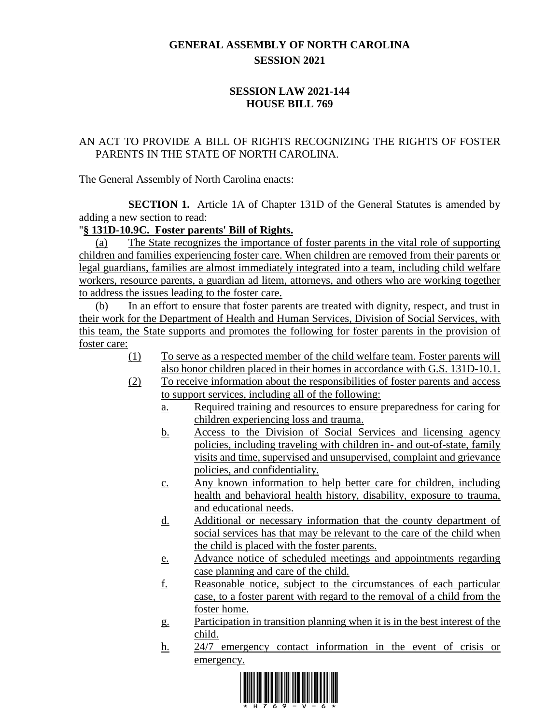## **GENERAL ASSEMBLY OF NORTH CAROLINA SESSION 2021**

## **SESSION LAW 2021-144 HOUSE BILL 769**

## AN ACT TO PROVIDE A BILL OF RIGHTS RECOGNIZING THE RIGHTS OF FOSTER PARENTS IN THE STATE OF NORTH CAROLINA.

The General Assembly of North Carolina enacts:

**SECTION 1.** Article 1A of Chapter 131D of the General Statutes is amended by adding a new section to read:

## "**§ 131D-10.9C. Foster parents' Bill of Rights.**

(a) The State recognizes the importance of foster parents in the vital role of supporting children and families experiencing foster care. When children are removed from their parents or legal guardians, families are almost immediately integrated into a team, including child welfare workers, resource parents, a guardian ad litem, attorneys, and others who are working together to address the issues leading to the foster care.

(b) In an effort to ensure that foster parents are treated with dignity, respect, and trust in their work for the Department of Health and Human Services, Division of Social Services, with this team, the State supports and promotes the following for foster parents in the provision of foster care:

- (1) To serve as a respected member of the child welfare team. Foster parents will also honor children placed in their homes in accordance with G.S. 131D-10.1.
- (2) To receive information about the responsibilities of foster parents and access to support services, including all of the following:
	- a. Required training and resources to ensure preparedness for caring for children experiencing loss and trauma.
	- b. Access to the Division of Social Services and licensing agency policies, including traveling with children in- and out-of-state, family visits and time, supervised and unsupervised, complaint and grievance policies, and confidentiality.
	- c. Any known information to help better care for children, including health and behavioral health history, disability, exposure to trauma, and educational needs.
	- d. Additional or necessary information that the county department of social services has that may be relevant to the care of the child when the child is placed with the foster parents.
	- e. Advance notice of scheduled meetings and appointments regarding case planning and care of the child.
	- f. Reasonable notice, subject to the circumstances of each particular case, to a foster parent with regard to the removal of a child from the foster home.
	- g. Participation in transition planning when it is in the best interest of the child.
	- h. 24/7 emergency contact information in the event of crisis or emergency.

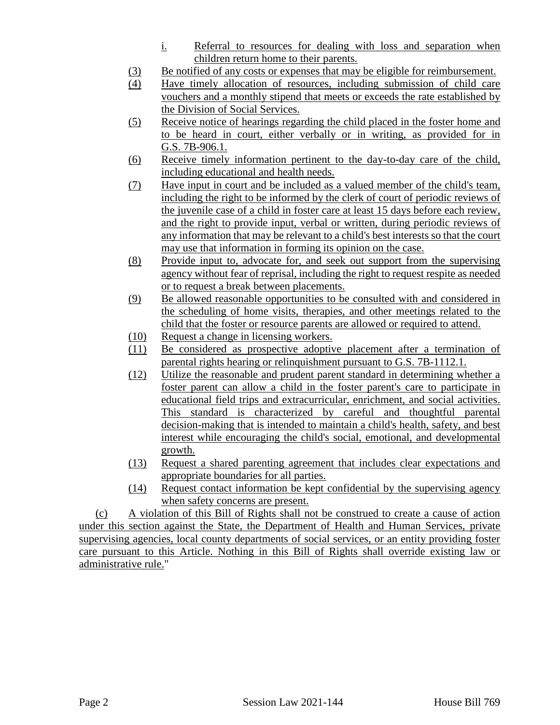- i. Referral to resources for dealing with loss and separation when children return home to their parents.
- (3) Be notified of any costs or expenses that may be eligible for reimbursement.
- (4) Have timely allocation of resources, including submission of child care vouchers and a monthly stipend that meets or exceeds the rate established by the Division of Social Services.
- (5) Receive notice of hearings regarding the child placed in the foster home and to be heard in court, either verbally or in writing, as provided for in G.S. 7B-906.1.
- (6) Receive timely information pertinent to the day-to-day care of the child, including educational and health needs.
- (7) Have input in court and be included as a valued member of the child's team, including the right to be informed by the clerk of court of periodic reviews of the juvenile case of a child in foster care at least 15 days before each review, and the right to provide input, verbal or written, during periodic reviews of any information that may be relevant to a child's best interests so that the court may use that information in forming its opinion on the case.
- (8) Provide input to, advocate for, and seek out support from the supervising agency without fear of reprisal, including the right to request respite as needed or to request a break between placements.
- (9) Be allowed reasonable opportunities to be consulted with and considered in the scheduling of home visits, therapies, and other meetings related to the child that the foster or resource parents are allowed or required to attend.
- (10) Request a change in licensing workers.
- (11) Be considered as prospective adoptive placement after a termination of parental rights hearing or relinquishment pursuant to G.S. 7B-1112.1.
- (12) Utilize the reasonable and prudent parent standard in determining whether a foster parent can allow a child in the foster parent's care to participate in educational field trips and extracurricular, enrichment, and social activities. This standard is characterized by careful and thoughtful parental decision-making that is intended to maintain a child's health, safety, and best interest while encouraging the child's social, emotional, and developmental growth.
- (13) Request a shared parenting agreement that includes clear expectations and appropriate boundaries for all parties.
- (14) Request contact information be kept confidential by the supervising agency when safety concerns are present.

(c) A violation of this Bill of Rights shall not be construed to create a cause of action under this section against the State, the Department of Health and Human Services, private supervising agencies, local county departments of social services, or an entity providing foster care pursuant to this Article. Nothing in this Bill of Rights shall override existing law or administrative rule."